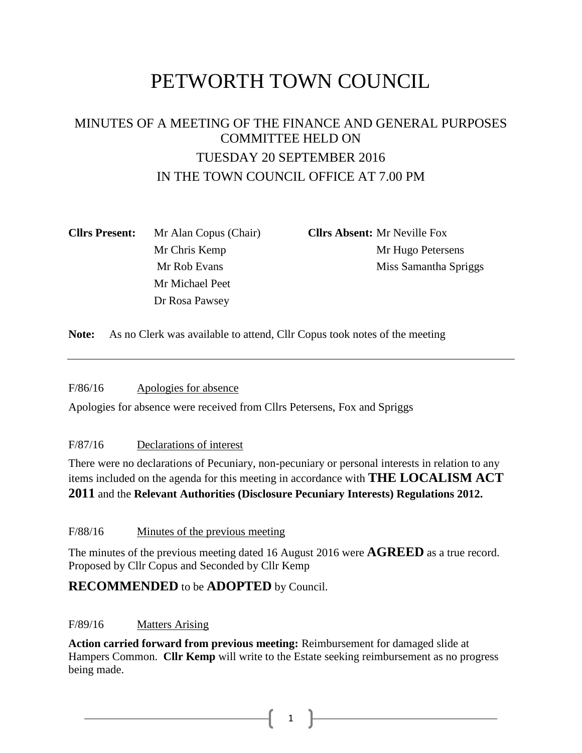# PETWORTH TOWN COUNCIL

## MINUTES OF A MEETING OF THE FINANCE AND GENERAL PURPOSES COMMITTEE HELD ON TUESDAY 20 SEPTEMBER 2016 IN THE TOWN COUNCIL OFFICE AT 7.00 PM

| <b>Cllrs Present:</b> | Mr Alan Copus (Chair) |  |  |  |
|-----------------------|-----------------------|--|--|--|
|                       | Mr Chris Kemp         |  |  |  |
|                       | Mr Rob Evans          |  |  |  |
|                       | Mr Michael Peet       |  |  |  |
|                       | Dr Rosa Pawsey        |  |  |  |

**Cllrs Absent:** Mr Neville Fox Mr Hugo Petersens Miss Samantha Spriggs

**Note:** As no Clerk was available to attend, Cllr Copus took notes of the meeting

F/86/16 Apologies for absence

Apologies for absence were received from Cllrs Petersens, Fox and Spriggs

#### F/87/16 Declarations of interest

There were no declarations of Pecuniary, non-pecuniary or personal interests in relation to any items included on the agenda for this meeting in accordance with **THE LOCALISM ACT 2011** and the **Relevant Authorities (Disclosure Pecuniary Interests) Regulations 2012.**

F/88/16 Minutes of the previous meeting

The minutes of the previous meeting dated 16 August 2016 were **AGREED** as a true record. Proposed by Cllr Copus and Seconded by Cllr Kemp

## **RECOMMENDED** to be **ADOPTED** by Council.

#### F/89/16 Matters Arising

**Action carried forward from previous meeting:** Reimbursement for damaged slide at Hampers Common. **Cllr Kemp** will write to the Estate seeking reimbursement as no progress being made.

 $1 \quad \vert$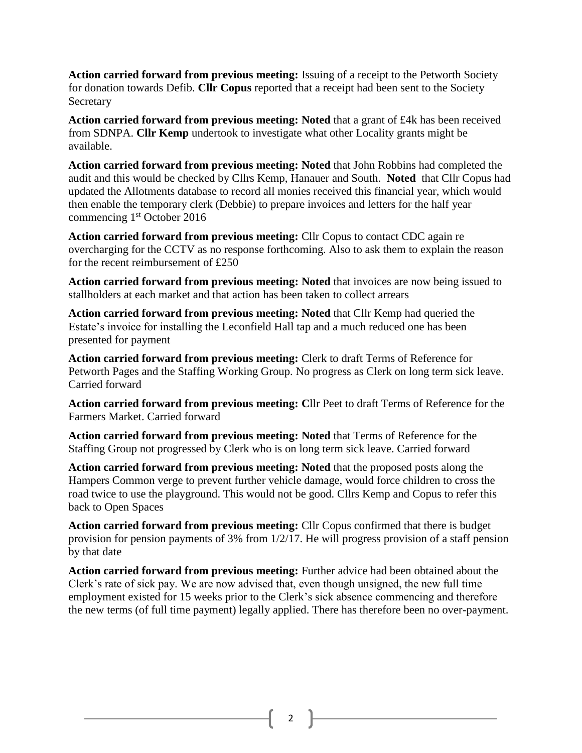**Action carried forward from previous meeting:** Issuing of a receipt to the Petworth Society for donation towards Defib. **Cllr Copus** reported that a receipt had been sent to the Society Secretary

**Action carried forward from previous meeting: Noted** that a grant of £4k has been received from SDNPA. **Cllr Kemp** undertook to investigate what other Locality grants might be available.

**Action carried forward from previous meeting: Noted** that John Robbins had completed the audit and this would be checked by Cllrs Kemp, Hanauer and South. **Noted** that Cllr Copus had updated the Allotments database to record all monies received this financial year, which would then enable the temporary clerk (Debbie) to prepare invoices and letters for the half year commencing 1st October 2016

**Action carried forward from previous meeting:** Cllr Copus to contact CDC again re overcharging for the CCTV as no response forthcoming. Also to ask them to explain the reason for the recent reimbursement of £250

**Action carried forward from previous meeting: Noted** that invoices are now being issued to stallholders at each market and that action has been taken to collect arrears

**Action carried forward from previous meeting: Noted** that Cllr Kemp had queried the Estate's invoice for installing the Leconfield Hall tap and a much reduced one has been presented for payment

**Action carried forward from previous meeting:** Clerk to draft Terms of Reference for Petworth Pages and the Staffing Working Group. No progress as Clerk on long term sick leave. Carried forward

**Action carried forward from previous meeting: C**llr Peet to draft Terms of Reference for the Farmers Market. Carried forward

**Action carried forward from previous meeting: Noted** that Terms of Reference for the Staffing Group not progressed by Clerk who is on long term sick leave. Carried forward

**Action carried forward from previous meeting: Noted** that the proposed posts along the Hampers Common verge to prevent further vehicle damage, would force children to cross the road twice to use the playground. This would not be good. Cllrs Kemp and Copus to refer this back to Open Spaces

**Action carried forward from previous meeting:** Cllr Copus confirmed that there is budget provision for pension payments of 3% from 1/2/17. He will progress provision of a staff pension by that date

**Action carried forward from previous meeting:** Further advice had been obtained about the Clerk's rate of sick pay. We are now advised that, even though unsigned, the new full time employment existed for 15 weeks prior to the Clerk's sick absence commencing and therefore the new terms (of full time payment) legally applied. There has therefore been no over-payment.

2  $\parallel$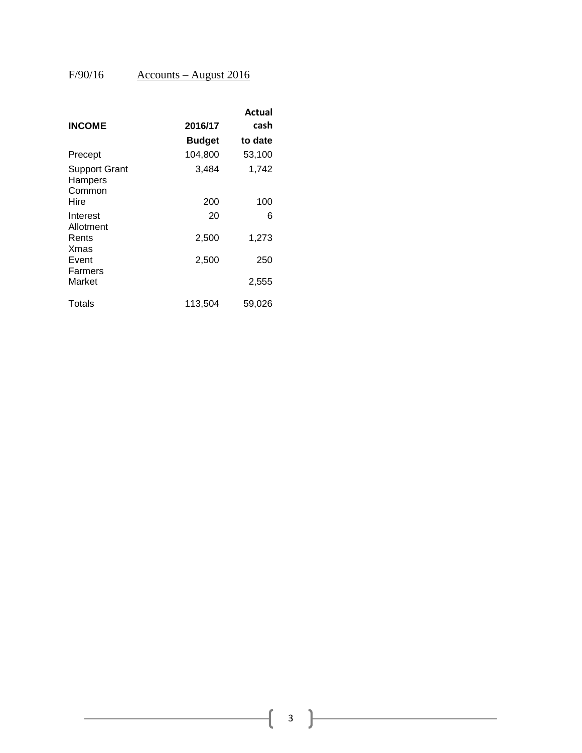## $F/90/16$  Accounts – August 2016

|                                           |               | Actual  |
|-------------------------------------------|---------------|---------|
| <b>INCOME</b>                             | 2016/17       | cash    |
|                                           | <b>Budget</b> | to date |
| Precept                                   | 104,800       | 53,100  |
| <b>Support Grant</b><br>Hampers<br>Common | 3,484         | 1,742   |
| Hire                                      | 200           | 100     |
| Interest<br>Allotment                     | 20            | 6       |
| Rents<br>Xmas                             | 2,500         | 1,273   |
| Event                                     | 2,500         | 250     |
| Farmers<br>Market                         |               | 2,555   |
| Totals                                    | 113,504       | 59,026  |

 $\begin{bmatrix} 3 \end{bmatrix}$ 

ſ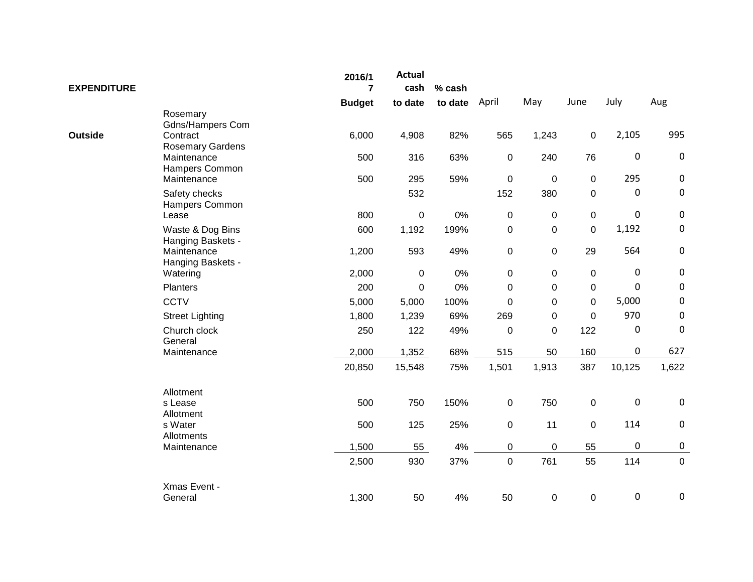| <b>EXPENDITURE</b> |                                       | 2016/1<br>$\overline{7}$ | <b>Actual</b><br>cash | % cash  |             |                  |             |                  |             |
|--------------------|---------------------------------------|--------------------------|-----------------------|---------|-------------|------------------|-------------|------------------|-------------|
|                    |                                       | <b>Budget</b>            | to date               | to date | April       | May              | June        | July             | Aug         |
|                    | Rosemary<br><b>Gdns/Hampers Com</b>   |                          |                       |         |             |                  |             |                  |             |
| <b>Outside</b>     | Contract<br><b>Rosemary Gardens</b>   | 6,000                    | 4,908                 | 82%     | 565         | 1,243            | 0           | 2,105            | 995         |
|                    | Maintenance<br>Hampers Common         | 500                      | 316                   | 63%     | 0           | 240              | 76          | $\mathbf 0$      | $\pmb{0}$   |
|                    | Maintenance                           | 500                      | 295                   | 59%     | $\pmb{0}$   | $\pmb{0}$        | 0           | 295              | $\pmb{0}$   |
|                    | Safety checks<br>Hampers Common       |                          | 532                   |         | 152         | 380              | 0           | $\pmb{0}$        | $\pmb{0}$   |
|                    | Lease                                 | 800                      | $\mathbf 0$           | 0%      | 0           | $\mathbf 0$      | 0           | $\mathbf 0$      | $\pmb{0}$   |
|                    | Waste & Dog Bins<br>Hanging Baskets - | 600                      | 1,192                 | 199%    | 0           | $\boldsymbol{0}$ | $\mathbf 0$ | 1,192            | $\pmb{0}$   |
|                    | Maintenance<br>Hanging Baskets -      | 1,200                    | 593                   | 49%     | 0           | $\boldsymbol{0}$ | 29          | 564              | $\pmb{0}$   |
|                    | Watering                              | 2,000                    | $\mathbf 0$           | 0%      | 0           | 0                | 0           | $\mathbf 0$      | $\pmb{0}$   |
|                    | <b>Planters</b>                       | 200                      | $\mathbf 0$           | $0\%$   | 0           | 0                | 0           | $\mathbf 0$      | $\pmb{0}$   |
|                    | <b>CCTV</b>                           | 5,000                    | 5,000                 | 100%    | $\mathbf 0$ | $\boldsymbol{0}$ | $\mathbf 0$ | 5,000            | $\pmb{0}$   |
|                    | <b>Street Lighting</b>                | 1,800                    | 1,239                 | 69%     | 269         | 0                | 0           | 970              | $\mathbf 0$ |
|                    | Church clock<br>General               | 250                      | 122                   | 49%     | $\mathbf 0$ | $\mathbf 0$      | 122         | $\boldsymbol{0}$ | $\pmb{0}$   |
|                    | Maintenance                           | 2,000                    | 1,352                 | 68%     | 515         | 50               | 160         | $\pmb{0}$        | 627         |
|                    |                                       | 20,850                   | 15,548                | 75%     | 1,501       | 1,913            | 387         | 10,125           | 1,622       |
|                    | Allotment                             |                          |                       |         |             |                  |             |                  |             |
|                    | s Lease<br>Allotment                  | 500                      | 750                   | 150%    | $\pmb{0}$   | 750              | $\pmb{0}$   | $\boldsymbol{0}$ | $\pmb{0}$   |
|                    | s Water<br>Allotments                 | 500                      | 125                   | 25%     | 0           | 11               | $\mathsf 0$ | 114              | $\pmb{0}$   |
|                    | Maintenance                           | 1,500                    | 55                    | 4%      | 0           | $\pmb{0}$        | 55          | $\boldsymbol{0}$ | $\pmb{0}$   |
|                    |                                       | 2,500                    | 930                   | 37%     | 0           | 761              | 55          | 114              | $\pmb{0}$   |
|                    | Xmas Event -                          |                          |                       |         |             |                  |             |                  |             |
|                    | General                               | 1,300                    | 50                    | 4%      | 50          | $\pmb{0}$        | 0           | 0                | $\pmb{0}$   |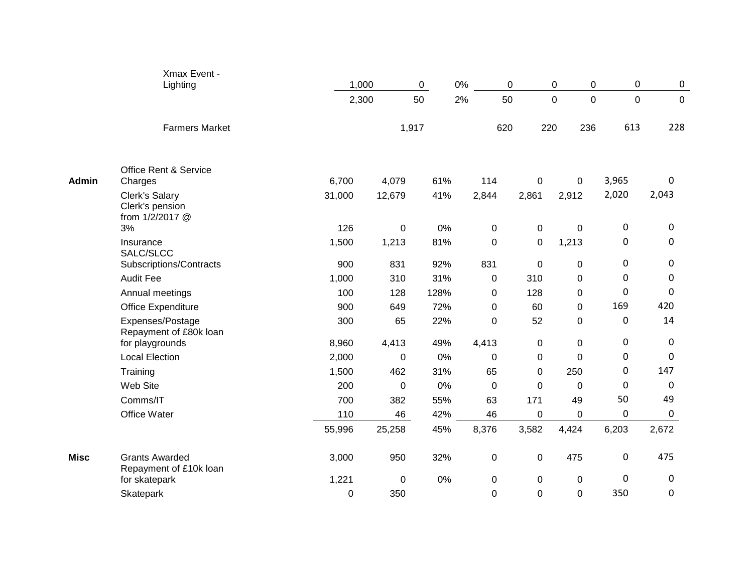|              | Xmax Event -<br>Lighting                             | 1,000       |        | 0%<br>$\mathbf 0$ | 0                |             | 0<br>0                  | $\mathbf 0$    | $\mathbf 0$ |
|--------------|------------------------------------------------------|-------------|--------|-------------------|------------------|-------------|-------------------------|----------------|-------------|
|              |                                                      | 2,300       |        | 50<br>2%          | 50               |             | $\Omega$<br>$\mathbf 0$ | $\overline{0}$ | $\mathbf 0$ |
|              | <b>Farmers Market</b>                                |             |        | 1,917             | 620              |             | 220<br>236              | 613            | 228         |
|              | Office Rent & Service                                |             |        |                   |                  |             |                         |                |             |
| <b>Admin</b> | Charges                                              | 6,700       | 4,079  | 61%               | 114              | 0           | 0                       | 3,965          | 0           |
|              | Clerk's Salary<br>Clerk's pension<br>from 1/2/2017 @ | 31,000      | 12,679 | 41%               | 2,844            | 2,861       | 2,912                   | 2,020          | 2,043       |
|              | 3%                                                   | 126         | 0      | 0%                | 0                | 0           | $\mathbf 0$             | 0              | 0           |
|              | Insurance<br>SALC/SLCC                               | 1,500       | 1,213  | 81%               | $\boldsymbol{0}$ | 0           | 1,213                   | $\mathbf 0$    | 0           |
|              | Subscriptions/Contracts                              | 900         | 831    | 92%               | 831              | $\pmb{0}$   | $\mathbf 0$             | 0              | 0           |
|              | <b>Audit Fee</b>                                     | 1,000       | 310    | 31%               | 0                | 310         | 0                       | $\Omega$       | 0           |
|              | Annual meetings                                      | 100         | 128    | 128%              | $\pmb{0}$        | 128         | $\mathbf 0$             | $\mathbf 0$    | 0           |
|              | Office Expenditure                                   | 900         | 649    | 72%               | 0                | 60          | 0                       | 169            | 420         |
|              | Expenses/Postage<br>Repayment of £80k loan           | 300         | 65     | 22%               | $\boldsymbol{0}$ | 52          | $\pmb{0}$               | $\mathbf 0$    | 14          |
|              | for playgrounds                                      | 8,960       | 4,413  | 49%               | 4,413            | 0           | $\mathbf 0$             | 0              | 0           |
|              | <b>Local Election</b>                                | 2,000       | 0      | 0%                | $\boldsymbol{0}$ | $\pmb{0}$   | $\pmb{0}$               | $\mathbf 0$    | 0           |
|              | Training                                             | 1,500       | 462    | 31%               | 65               | 0           | 250                     | 0              | 147         |
|              | Web Site                                             | 200         | 0      | 0%                | $\mathbf 0$      | $\mathbf 0$ | $\mathbf 0$             | $\mathbf 0$    | 0           |
|              | Comms/IT                                             | 700         | 382    | 55%               | 63               | 171         | 49                      | 50             | 49          |
|              | Office Water                                         | 110         | 46     | 42%               | 46               | 0           | 0                       | 0              | 0           |
|              |                                                      | 55,996      | 25,258 | 45%               | 8,376            | 3,582       | 4,424                   | 6,203          | 2,672       |
| <b>Misc</b>  | <b>Grants Awarded</b><br>Repayment of £10k loan      | 3,000       | 950    | 32%               | $\pmb{0}$        | $\pmb{0}$   | 475                     | $\mathbf 0$    | 475         |
|              | for skatepark                                        | 1,221       | 0      | 0%                | $\mathbf 0$      | 0           | $\mathbf 0$             | $\mathbf 0$    | 0           |
|              | <b>Skatepark</b>                                     | $\mathbf 0$ | 350    |                   | $\overline{0}$   | 0           | $\mathbf 0$             | 350            | 0           |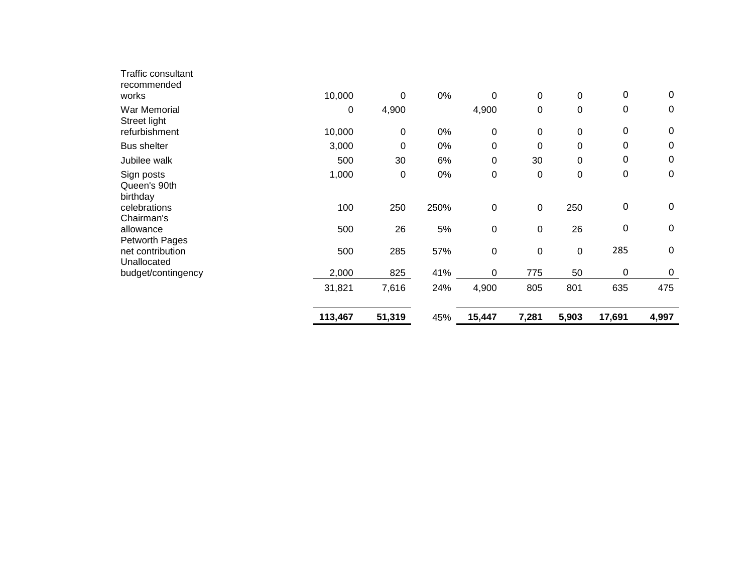|                                                   | 113,467     | 51,319     | 45%  | 15,447             | 7,281            | 5,903       | 17,691                               | 4,997                      |
|---------------------------------------------------|-------------|------------|------|--------------------|------------------|-------------|--------------------------------------|----------------------------|
|                                                   | 31,821      | 7,616      | 24%  | 4,900              | 805              | 801         | 635                                  | 475                        |
| budget/contingency                                | 2,000       | 825        | 41%  | 0                  | 775              | 50          | $\boldsymbol{0}$                     | $\mathbf 0$                |
| Petworth Pages<br>net contribution<br>Unallocated | 500         | 285        | 57%  | $\pmb{0}$          | $\boldsymbol{0}$ | 0           | 285                                  | $\mathbf 0$                |
| Chairman's<br>allowance                           | 500         | 26         | 5%   | $\pmb{0}$          | $\mathbf 0$      | 26          | $\boldsymbol{0}$                     | $\mathbf 0$                |
| Queen's 90th<br>birthday<br>celebrations          | 100         | 250        | 250% | $\pmb{0}$          | $\boldsymbol{0}$ | 250         | $\boldsymbol{0}$                     | $\mathbf 0$                |
| Sign posts                                        | 1,000       | 0          | 0%   | $\pmb{0}$          | $\boldsymbol{0}$ | $\mathbf 0$ | $\mathbf 0$                          | $\mathbf 0$                |
| Jubilee walk                                      | 500         | 30         | 6%   | 0                  | 30               | 0           | 0                                    | $\mathbf 0$                |
| <b>Bus shelter</b>                                | 3,000       | 0          | 0%   | 0                  | 0                | 0           | 0                                    | 0                          |
| War Memorial<br>Street light<br>refurbishment     | 0<br>10,000 | 4,900<br>0 | 0%   | 4,900<br>$\pmb{0}$ | 0<br>$\mathbf 0$ | 0<br>0      | $\boldsymbol{0}$<br>$\boldsymbol{0}$ | $\mathbf 0$<br>$\mathbf 0$ |
| Traffic consultant<br>recommended<br>works        | 10,000      | 0          | 0%   | 0                  | $\boldsymbol{0}$ | $\mathbf 0$ | $\boldsymbol{0}$                     | $\mathbf 0$                |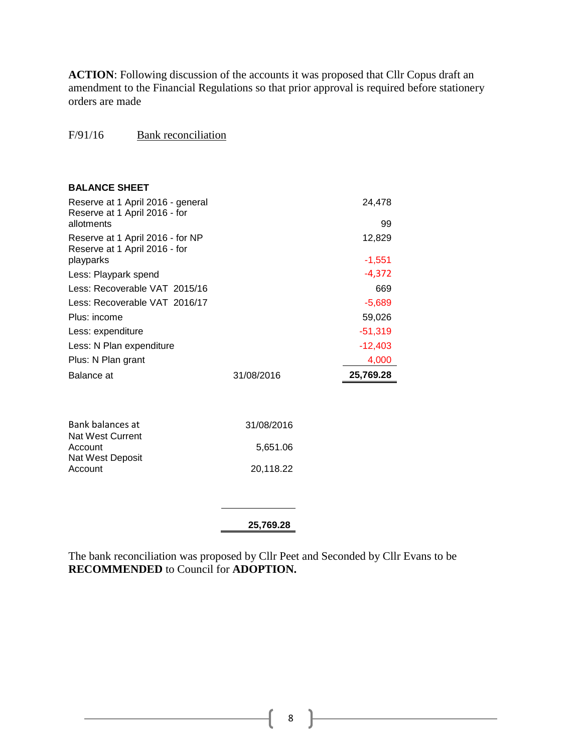**ACTION**: Following discussion of the accounts it was proposed that Cllr Copus draft an amendment to the Financial Regulations so that prior approval is required before stationery orders are made

#### F/91/16 Bank reconciliation

| <b>BALANCE SHEET</b>                                                             |            |                    |
|----------------------------------------------------------------------------------|------------|--------------------|
| Reserve at 1 April 2016 - general<br>Reserve at 1 April 2016 - for<br>allotments |            | 24,478             |
|                                                                                  |            | 99                 |
| Reserve at 1 April 2016 - for NP<br>Reserve at 1 April 2016 - for<br>playparks   |            | 12,829<br>$-1,551$ |
| Less: Playpark spend                                                             |            | $-4,372$           |
| Less: Recoverable VAT 2015/16                                                    |            |                    |
|                                                                                  |            | 669                |
| Less: Recoverable VAT 2016/17                                                    |            | $-5,689$           |
| Plus: income                                                                     |            | 59,026             |
| Less: expenditure                                                                |            | $-51,319$          |
| Less: N Plan expenditure                                                         |            | $-12,403$          |
| Plus: N Plan grant                                                               |            | 4,000              |
| Balance at                                                                       | 31/08/2016 | 25,769.28          |
|                                                                                  |            |                    |
| Bank balances at<br><b>Nat West Current</b>                                      | 31/08/2016 |                    |
| Account<br>Nat West Deposit                                                      | 5,651.06   |                    |
| Account                                                                          | 20,118.22  |                    |
|                                                                                  |            |                    |
|                                                                                  | 25,769.28  |                    |

The bank reconciliation was proposed by Cllr Peet and Seconded by Cllr Evans to be **RECOMMENDED** to Council for **ADOPTION.**

8 }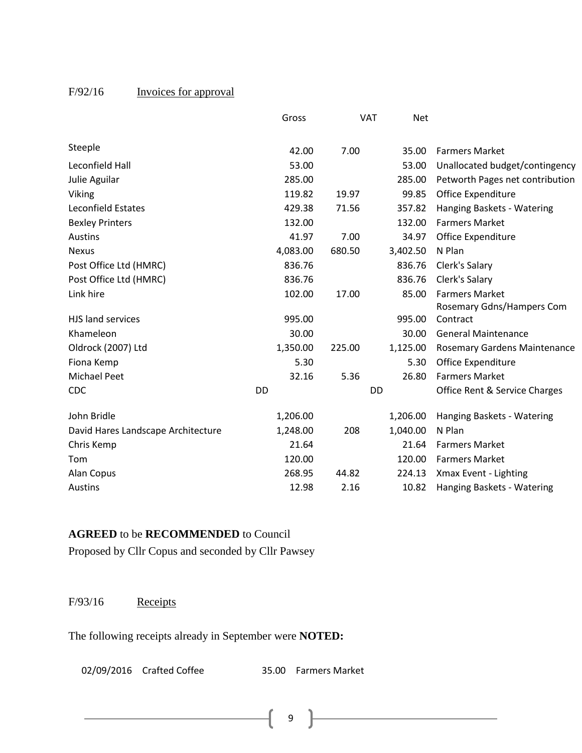## F/92/16 Invoices for approval

|                                    | Gross     |        | <b>VAT</b><br><b>Net</b> |                                                    |
|------------------------------------|-----------|--------|--------------------------|----------------------------------------------------|
| Steeple                            | 42.00     | 7.00   | 35.00                    | <b>Farmers Market</b>                              |
| Leconfield Hall                    | 53.00     |        | 53.00                    | Unallocated budget/contingency                     |
| Julie Aguilar                      | 285.00    |        | 285.00                   | Petworth Pages net contribution                    |
| Viking                             | 119.82    | 19.97  | 99.85                    | Office Expenditure                                 |
| Leconfield Estates                 | 429.38    | 71.56  | 357.82                   | Hanging Baskets - Watering                         |
| <b>Bexley Printers</b>             | 132.00    |        | 132.00                   | <b>Farmers Market</b>                              |
| Austins                            | 41.97     | 7.00   | 34.97                    | Office Expenditure                                 |
| <b>Nexus</b>                       | 4,083.00  | 680.50 | 3,402.50                 | N Plan                                             |
| Post Office Ltd (HMRC)             | 836.76    |        | 836.76                   | Clerk's Salary                                     |
| Post Office Ltd (HMRC)             | 836.76    |        | 836.76                   | Clerk's Salary                                     |
| Link hire                          | 102.00    | 17.00  | 85.00                    | <b>Farmers Market</b><br>Rosemary Gdns/Hampers Com |
| HJS land services                  | 995.00    |        | 995.00                   | Contract                                           |
| Khameleon                          | 30.00     |        | 30.00                    | <b>General Maintenance</b>                         |
| Oldrock (2007) Ltd                 | 1,350.00  | 225.00 | 1,125.00                 | <b>Rosemary Gardens Maintenance</b>                |
| Fiona Kemp                         | 5.30      |        | 5.30                     | Office Expenditure                                 |
| <b>Michael Peet</b>                | 32.16     | 5.36   | 26.80                    | <b>Farmers Market</b>                              |
| CDC                                | <b>DD</b> |        | <b>DD</b>                | Office Rent & Service Charges                      |
| John Bridle                        | 1,206.00  |        | 1,206.00                 | Hanging Baskets - Watering                         |
| David Hares Landscape Architecture | 1,248.00  | 208    | 1,040.00                 | N Plan                                             |
| Chris Kemp                         | 21.64     |        | 21.64                    | <b>Farmers Market</b>                              |
| Tom                                | 120.00    |        | 120.00                   | <b>Farmers Market</b>                              |
| Alan Copus                         | 268.95    | 44.82  | 224.13                   | Xmax Event - Lighting                              |
| Austins                            | 12.98     | 2.16   | 10.82                    | Hanging Baskets - Watering                         |

### **AGREED** to be **RECOMMENDED** to Council

Proposed by Cllr Copus and seconded by Cllr Pawsey

F/93/16 Receipts

The following receipts already in September were **NOTED:**

02/09/2016 Crafted Coffee 35.00 Farmers Market